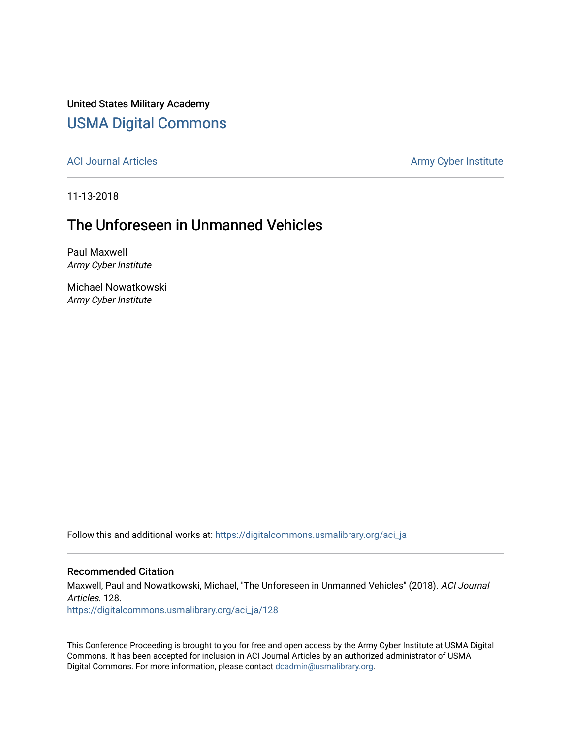United States Military Academy [USMA Digital Commons](https://digitalcommons.usmalibrary.org/)

[ACI Journal Articles](https://digitalcommons.usmalibrary.org/aci_ja) Army Cyber Institute

11-13-2018

# The Unforeseen in Unmanned Vehicles

Paul Maxwell Army Cyber Institute

Michael Nowatkowski Army Cyber Institute

Follow this and additional works at: [https://digitalcommons.usmalibrary.org/aci\\_ja](https://digitalcommons.usmalibrary.org/aci_ja?utm_source=digitalcommons.usmalibrary.org%2Faci_ja%2F128&utm_medium=PDF&utm_campaign=PDFCoverPages)

# Recommended Citation

Maxwell, Paul and Nowatkowski, Michael, "The Unforeseen in Unmanned Vehicles" (2018). ACI Journal Articles. 128.

[https://digitalcommons.usmalibrary.org/aci\\_ja/128](https://digitalcommons.usmalibrary.org/aci_ja/128?utm_source=digitalcommons.usmalibrary.org%2Faci_ja%2F128&utm_medium=PDF&utm_campaign=PDFCoverPages)

This Conference Proceeding is brought to you for free and open access by the Army Cyber Institute at USMA Digital Commons. It has been accepted for inclusion in ACI Journal Articles by an authorized administrator of USMA Digital Commons. For more information, please contact [dcadmin@usmalibrary.org](mailto:dcadmin@usmalibrary.org).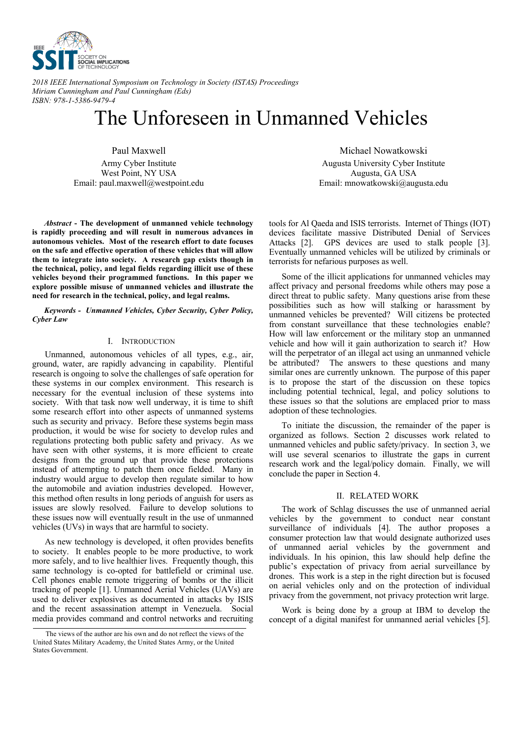

*2018 IEEE International Symposium on Technology in Society (ISTAS) Proceedings Miriam Cunningham and Paul Cunningham (Eds) ISBN: 978-1-5386-9479-4*

# The Unforeseen in Unmanned Vehicles

Paul Maxwell Army Cyber Institute West Point, NY USA Email: paul.maxwell@westpoint.edu

*Abstract* **- The development of unmanned vehicle technology is rapidly proceeding and will result in numerous advances in autonomous vehicles. Most of the research effort to date focuses on the safe and effective operation of these vehicles that will allow them to integrate into society. A research gap exists though in the technical, policy, and legal fields regarding illicit use of these vehicles beyond their programmed functions. In this paper we explore possible misuse of unmanned vehicles and illustrate the need for research in the technical, policy, and legal realms.** 

*Keywords - Unmanned Vehicles, Cyber Security, Cyber Policy, Cyber Law* 

#### I. INTRODUCTION

Unmanned, autonomous vehicles of all types, e.g., air, ground, water, are rapidly advancing in capability. Plentiful research is ongoing to solve the challenges of safe operation for these systems in our complex environment. This research is necessary for the eventual inclusion of these systems into society. With that task now well underway, it is time to shift some research effort into other aspects of unmanned systems such as security and privacy. Before these systems begin mass production, it would be wise for society to develop rules and regulations protecting both public safety and privacy. As we have seen with other systems, it is more efficient to create designs from the ground up that provide these protections instead of attempting to patch them once fielded. Many in industry would argue to develop then regulate similar to how the automobile and aviation industries developed. However, this method often results in long periods of anguish for users as issues are slowly resolved. Failure to develop solutions to these issues now will eventually result in the use of unmanned vehicles (UVs) in ways that are harmful to society.

As new technology is developed, it often provides benefits to society. It enables people to be more productive, to work more safely, and to live healthier lives. Frequently though, this same technology is co-opted for battlefield or criminal use. Cell phones enable remote triggering of bombs or the illicit tracking of people [1]. Unmanned Aerial Vehicles (UAVs) are used to deliver explosives as documented in attacks by ISIS and the recent assassination attempt in Venezuela. Social media provides command and control networks and recruiting

Michael Nowatkowski Augusta University Cyber Institute Augusta, GA USA Email: mnowatkowski@augusta.edu

tools for Al Qaeda and ISIS terrorists. Internet of Things (IOT) devices facilitate massive Distributed Denial of Services Attacks [2]. GPS devices are used to stalk people [3]. Eventually unmanned vehicles will be utilized by criminals or terrorists for nefarious purposes as well.

Some of the illicit applications for unmanned vehicles may affect privacy and personal freedoms while others may pose a direct threat to public safety. Many questions arise from these possibilities such as how will stalking or harassment by unmanned vehicles be prevented? Will citizens be protected from constant surveillance that these technologies enable? How will law enforcement or the military stop an unmanned vehicle and how will it gain authorization to search it? How will the perpetrator of an illegal act using an unmanned vehicle be attributed? The answers to these questions and many similar ones are currently unknown. The purpose of this paper is to propose the start of the discussion on these topics including potential technical, legal, and policy solutions to these issues so that the solutions are emplaced prior to mass adoption of these technologies.

To initiate the discussion, the remainder of the paper is organized as follows. Section 2 discusses work related to unmanned vehicles and public safety/privacy. In section 3, we will use several scenarios to illustrate the gaps in current research work and the legal/policy domain. Finally, we will conclude the paper in Section 4.

#### II. RELATED WORK

The work of Schlag discusses the use of unmanned aerial vehicles by the government to conduct near constant surveillance of individuals [4]. The author proposes a consumer protection law that would designate authorized uses of unmanned aerial vehicles by the government and individuals. In his opinion, this law should help define the public's expectation of privacy from aerial surveillance by drones. This work is a step in the right direction but is focused on aerial vehicles only and on the protection of individual privacy from the government, not privacy protection writ large.

Work is being done by a group at IBM to develop the concept of a digital manifest for unmanned aerial vehicles [5].

The views of the author are his own and do not reflect the views of the United States Military Academy, the United States Army, or the United States Government.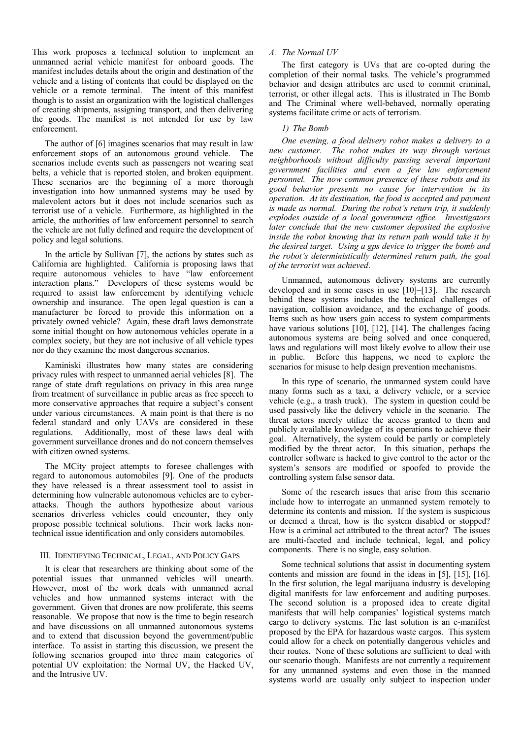This work proposes a technical solution to implement an unmanned aerial vehicle manifest for onboard goods. The manifest includes details about the origin and destination of the vehicle and a listing of contents that could be displayed on the vehicle or a remote terminal. The intent of this manifest though is to assist an organization with the logistical challenges of creating shipments, assigning transport, and then delivering the goods. The manifest is not intended for use by law enforcement.

The author of [6] imagines scenarios that may result in law enforcement stops of an autonomous ground vehicle. The scenarios include events such as passengers not wearing seat belts, a vehicle that is reported stolen, and broken equipment. These scenarios are the beginning of a more thorough investigation into how unmanned systems may be used by malevolent actors but it does not include scenarios such as terrorist use of a vehicle. Furthermore, as highlighted in the article, the authorities of law enforcement personnel to search the vehicle are not fully defined and require the development of policy and legal solutions.

In the article by Sullivan [7], the actions by states such as California are highlighted. California is proposing laws that require autonomous vehicles to have "law enforcement interaction plans." Developers of these systems would be required to assist law enforcement by identifying vehicle ownership and insurance. The open legal question is can a manufacturer be forced to provide this information on a privately owned vehicle? Again, these draft laws demonstrate some initial thought on how autonomous vehicles operate in a complex society, but they are not inclusive of all vehicle types nor do they examine the most dangerous scenarios.

Kaminiski illustrates how many states are considering privacy rules with respect to unmanned aerial vehicles [8]. The range of state draft regulations on privacy in this area range from treatment of surveillance in public areas as free speech to more conservative approaches that require a subject's consent under various circumstances. A main point is that there is no federal standard and only UAVs are considered in these regulations. Additionally, most of these laws deal with government surveillance drones and do not concern themselves with citizen owned systems.

 The MCity project attempts to foresee challenges with regard to autonomous automobiles [9]. One of the products they have released is a threat assessment tool to assist in determining how vulnerable autonomous vehicles are to cyberattacks. Though the authors hypothesize about various scenarios driverless vehicles could encounter, they only propose possible technical solutions. Their work lacks nontechnical issue identification and only considers automobiles.

#### III. IDENTIFYING TECHNICAL, LEGAL, AND POLICY GAPS

It is clear that researchers are thinking about some of the potential issues that unmanned vehicles will unearth. However, most of the work deals with unmanned aerial vehicles and how unmanned systems interact with the government. Given that drones are now proliferate, this seems reasonable. We propose that now is the time to begin research and have discussions on all unmanned autonomous systems and to extend that discussion beyond the government/public interface. To assist in starting this discussion, we present the following scenarios grouped into three main categories of potential UV exploitation: the Normal UV, the Hacked UV, and the Intrusive UV.

# *A. The Normal UV*

The first category is UVs that are co-opted during the completion of their normal tasks. The vehicle's programmed behavior and design attributes are used to commit criminal, terrorist, or other illegal acts. This is illustrated in The Bomb and The Criminal where well-behaved, normally operating systems facilitate crime or acts of terrorism.

### *1) The Bomb*

*One evening, a food delivery robot makes a delivery to a new customer. The robot makes its way through various neighborhoods without difficulty passing several important government facilities and even a few law enforcement personnel. The now common presence of these robots and its good behavior presents no cause for intervention in its operation. At its destination, the food is accepted and payment is made as normal. During the robot's return trip, it suddenly explodes outside of a local government office. Investigators later conclude that the new customer deposited the explosive inside the robot knowing that its return path would take it by the desired target. Using a gps device to trigger the bomb and the robot's deterministically determined return path, the goal of the terrorist was achieved*.

Unmanned, autonomous delivery systems are currently developed and in some cases in use [10]–[13]. The research behind these systems includes the technical challenges of navigation, collision avoidance, and the exchange of goods. Items such as how users gain access to system compartments have various solutions [10], [12], [14]. The challenges facing autonomous systems are being solved and once conquered, laws and regulations will most likely evolve to allow their use in public. Before this happens, we need to explore the scenarios for misuse to help design prevention mechanisms.

In this type of scenario, the unmanned system could have many forms such as a taxi, a delivery vehicle, or a service vehicle (e.g., a trash truck). The system in question could be used passively like the delivery vehicle in the scenario. The threat actors merely utilize the access granted to them and publicly available knowledge of its operations to achieve their goal. Alternatively, the system could be partly or completely modified by the threat actor. In this situation, perhaps the controller software is hacked to give control to the actor or the system's sensors are modified or spoofed to provide the controlling system false sensor data.

Some of the research issues that arise from this scenario include how to interrogate an unmanned system remotely to determine its contents and mission. If the system is suspicious or deemed a threat, how is the system disabled or stopped? How is a criminal act attributed to the threat actor? The issues are multi-faceted and include technical, legal, and policy components. There is no single, easy solution.

 Some technical solutions that assist in documenting system contents and mission are found in the ideas in [5], [15], [16]. In the first solution, the legal marijuana industry is developing digital manifests for law enforcement and auditing purposes. The second solution is a proposed idea to create digital manifests that will help companies' logistical systems match cargo to delivery systems. The last solution is an e-manifest proposed by the EPA for hazardous waste cargos. This system could allow for a check on potentially dangerous vehicles and their routes. None of these solutions are sufficient to deal with our scenario though. Manifests are not currently a requirement for any unmanned systems and even those in the manned systems world are usually only subject to inspection under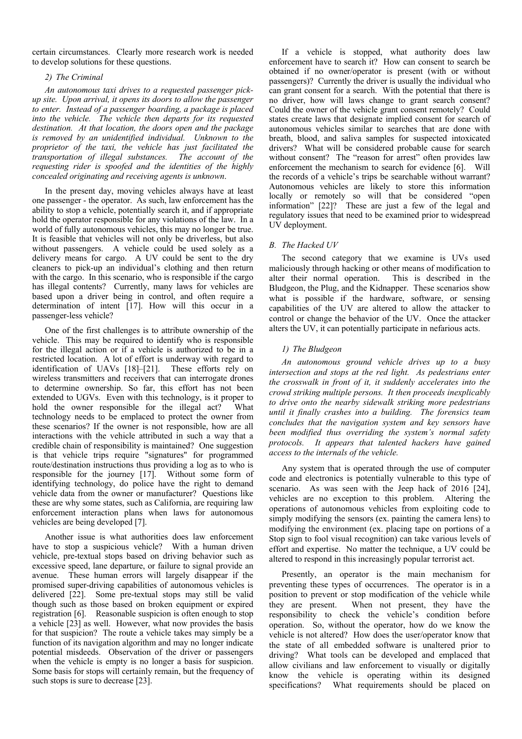certain circumstances. Clearly more research work is needed to develop solutions for these questions.

# *2) The Criminal*

*An autonomous taxi drives to a requested passenger pickup site. Upon arrival, it opens its doors to allow the passenger to enter. Instead of a passenger boarding, a package is placed into the vehicle. The vehicle then departs for its requested destination. At that location, the doors open and the package is removed by an unidentified individual. Unknown to the proprietor of the taxi, the vehicle has just facilitated the transportation of illegal substances. The account of the requesting rider is spoofed and the identities of the highly concealed originating and receiving agents is unknown*.

In the present day, moving vehicles always have at least one passenger - the operator. As such, law enforcement has the ability to stop a vehicle, potentially search it, and if appropriate hold the operator responsible for any violations of the law. In a world of fully autonomous vehicles, this may no longer be true. It is feasible that vehicles will not only be driverless, but also without passengers. A vehicle could be used solely as a delivery means for cargo. A UV could be sent to the dry cleaners to pick-up an individual's clothing and then return with the cargo. In this scenario, who is responsible if the cargo has illegal contents? Currently, many laws for vehicles are based upon a driver being in control, and often require a determination of intent [17]. How will this occur in a passenger-less vehicle?

One of the first challenges is to attribute ownership of the vehicle. This may be required to identify who is responsible for the illegal action or if a vehicle is authorized to be in a restricted location. A lot of effort is underway with regard to identification of UAVs [18]–[21]. These efforts rely on wireless transmitters and receivers that can interrogate drones to determine ownership. So far, this effort has not been extended to UGVs. Even with this technology, is it proper to hold the owner responsible for the illegal act? What technology needs to be emplaced to protect the owner from these scenarios? If the owner is not responsible, how are all interactions with the vehicle attributed in such a way that a credible chain of responsibility is maintained? One suggestion is that vehicle trips require "signatures" for programmed route/destination instructions thus providing a log as to who is responsible for the journey [17]. Without some form of identifying technology, do police have the right to demand vehicle data from the owner or manufacturer? Questions like these are why some states, such as California, are requiring law enforcement interaction plans when laws for autonomous vehicles are being developed [7].

Another issue is what authorities does law enforcement have to stop a suspicious vehicle? With a human driven vehicle, pre-textual stops based on driving behavior such as excessive speed, lane departure, or failure to signal provide an avenue. These human errors will largely disappear if the promised super-driving capabilities of autonomous vehicles is delivered [22]. Some pre-textual stops may still be valid though such as those based on broken equipment or expired registration [6]. Reasonable suspicion is often enough to stop a vehicle [23] as well. However, what now provides the basis for that suspicion? The route a vehicle takes may simply be a function of its navigation algorithm and may no longer indicate potential misdeeds. Observation of the driver or passengers when the vehicle is empty is no longer a basis for suspicion. Some basis for stops will certainly remain, but the frequency of such stops is sure to decrease [23].

If a vehicle is stopped, what authority does law enforcement have to search it? How can consent to search be obtained if no owner/operator is present (with or without passengers)? Currently the driver is usually the individual who can grant consent for a search. With the potential that there is no driver, how will laws change to grant search consent? Could the owner of the vehicle grant consent remotely? Could states create laws that designate implied consent for search of autonomous vehicles similar to searches that are done with breath, blood, and saliva samples for suspected intoxicated drivers? What will be considered probable cause for search without consent? The "reason for arrest" often provides law enforcement the mechanism to search for evidence [6]. Will the records of a vehicle's trips be searchable without warrant? Autonomous vehicles are likely to store this information locally or remotely so will that be considered "open information" [22]? These are just a few of the legal and regulatory issues that need to be examined prior to widespread UV deployment.

## *B. The Hacked UV*

The second category that we examine is UVs used maliciously through hacking or other means of modification to alter their normal operation. This is described in the Bludgeon, the Plug, and the Kidnapper. These scenarios show what is possible if the hardware, software, or sensing capabilities of the UV are altered to allow the attacker to control or change the behavior of the UV. Once the attacker alters the UV, it can potentially participate in nefarious acts.

## *1) The Bludgeon*

*An autonomous ground vehicle drives up to a busy intersection and stops at the red light. As pedestrians enter the crosswalk in front of it, it suddenly accelerates into the crowd striking multiple persons. It then proceeds inexplicably to drive onto the nearby sidewalk striking more pedestrians until it finally crashes into a building. The forensics team concludes that the navigation system and key sensors have been modified thus overriding the system's normal safety protocols. It appears that talented hackers have gained access to the internals of the vehicle.* 

Any system that is operated through the use of computer code and electronics is potentially vulnerable to this type of scenario. As was seen with the Jeep hack of 2016 [24], vehicles are no exception to this problem. Altering the operations of autonomous vehicles from exploiting code to simply modifying the sensors (ex. painting the camera lens) to modifying the environment (ex. placing tape on portions of a Stop sign to fool visual recognition) can take various levels of effort and expertise. No matter the technique, a UV could be altered to respond in this increasingly popular terrorist act.

Presently, an operator is the main mechanism for preventing these types of occurrences. The operator is in a position to prevent or stop modification of the vehicle while they are present. When not present, they have the responsibility to check the vehicle's condition before operation. So, without the operator, how do we know the vehicle is not altered? How does the user/operator know that the state of all embedded software is unaltered prior to driving? What tools can be developed and emplaced that allow civilians and law enforcement to visually or digitally know the vehicle is operating within its designed specifications? What requirements should be placed on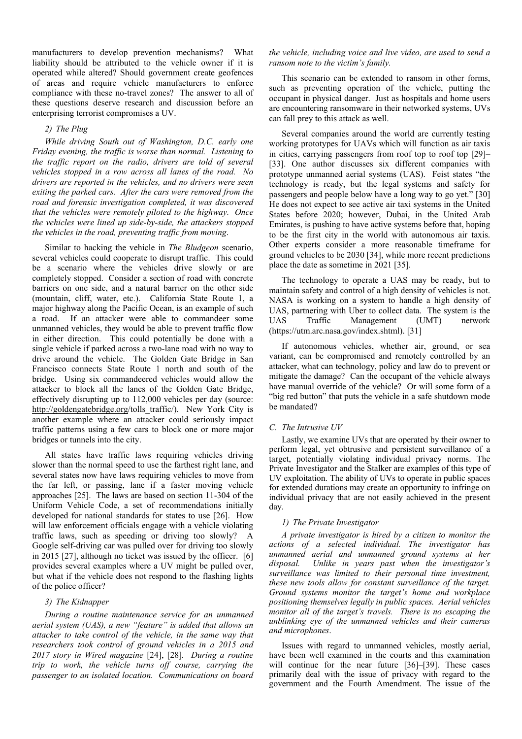manufacturers to develop prevention mechanisms? What liability should be attributed to the vehicle owner if it is operated while altered? Should government create geofences of areas and require vehicle manufacturers to enforce compliance with these no-travel zones? The answer to all of these questions deserve research and discussion before an enterprising terrorist compromises a UV.

# *2) The Plug*

*While driving South out of Washington, D.C. early one Friday evening, the traffic is worse than normal. Listening to the traffic report on the radio, drivers are told of several vehicles stopped in a row across all lanes of the road. No drivers are reported in the vehicles, and no drivers were seen exiting the parked cars. After the cars were removed from the road and forensic investigation completed, it was discovered that the vehicles were remotely piloted to the highway. Once the vehicles were lined up side-by-side, the attackers stopped the vehicles in the road, preventing traffic from moving*.

Similar to hacking the vehicle in *The Bludgeon* scenario, several vehicles could cooperate to disrupt traffic. This could be a scenario where the vehicles drive slowly or are completely stopped. Consider a section of road with concrete barriers on one side, and a natural barrier on the other side (mountain, cliff, water, etc.). California State Route 1, a major highway along the Pacific Ocean, is an example of such a road. If an attacker were able to commandeer some unmanned vehicles, they would be able to prevent traffic flow in either direction. This could potentially be done with a single vehicle if parked across a two-lane road with no way to drive around the vehicle. The Golden Gate Bridge in San Francisco connects State Route 1 north and south of the bridge. Using six commandeered vehicles would allow the attacker to block all the lanes of the Golden Gate Bridge, effectively disrupting up to 112,000 vehicles per day (source: http://goldengatebridge.org/tolls\_traffic/). New York City is another example where an attacker could seriously impact traffic patterns using a few cars to block one or more major bridges or tunnels into the city.

All states have traffic laws requiring vehicles driving slower than the normal speed to use the farthest right lane, and several states now have laws requiring vehicles to move from the far left, or passing, lane if a faster moving vehicle approaches [25]. The laws are based on section 11-304 of the Uniform Vehicle Code, a set of recommendations initially developed for national standards for states to use [26]. How will law enforcement officials engage with a vehicle violating traffic laws, such as speeding or driving too slowly? A Google self-driving car was pulled over for driving too slowly in 2015 [27], although no ticket was issued by the officer. [6] provides several examples where a UV might be pulled over, but what if the vehicle does not respond to the flashing lights of the police officer?

# *3) The Kidnapper*

*During a routine maintenance service for an unmanned aerial system (UAS), a new "feature" is added that allows an attacker to take control of the vehicle, in the same way that researchers took control of ground vehicles in a 2015 and 2017 story in Wired magazine* [24], [28]*. During a routine trip to work, the vehicle turns off course, carrying the passenger to an isolated location. Communications on board* 

# *the vehicle, including voice and live video, are used to send a ransom note to the victim's family.*

This scenario can be extended to ransom in other forms, such as preventing operation of the vehicle, putting the occupant in physical danger. Just as hospitals and home users are encountering ransomware in their networked systems, UVs can fall prey to this attack as well.

Several companies around the world are currently testing working prototypes for UAVs which will function as air taxis in cities, carrying passengers from roof top to roof top [29]– [33]. One author discusses six different companies with prototype unmanned aerial systems (UAS). Feist states "the technology is ready, but the legal systems and safety for passengers and people below have a long way to go yet." [30] He does not expect to see active air taxi systems in the United States before 2020; however, Dubai, in the United Arab Emirates, is pushing to have active systems before that, hoping to be the first city in the world with autonomous air taxis. Other experts consider a more reasonable timeframe for ground vehicles to be 2030 [34], while more recent predictions place the date as sometime in 2021 [35].

The technology to operate a UAS may be ready, but to maintain safety and control of a high density of vehicles is not. NASA is working on a system to handle a high density of UAS, partnering with Uber to collect data. The system is the UAS Traffic Management (UMT) network (https://utm.arc.nasa.gov/index.shtml). [31]

If autonomous vehicles, whether air, ground, or sea variant, can be compromised and remotely controlled by an attacker, what can technology, policy and law do to prevent or mitigate the damage? Can the occupant of the vehicle always have manual override of the vehicle? Or will some form of a "big red button" that puts the vehicle in a safe shutdown mode be mandated?

#### *C. The Intrusive UV*

Lastly, we examine UVs that are operated by their owner to perform legal, yet obtrusive and persistent surveillance of a target, potentially violating individual privacy norms. The Private Investigator and the Stalker are examples of this type of UV exploitation. The ability of UVs to operate in public spaces for extended durations may create an opportunity to infringe on individual privacy that are not easily achieved in the present day.

#### *1) The Private Investigator*

*A private investigator is hired by a citizen to monitor the actions of a selected individual. The investigator has unmanned aerial and unmanned ground systems at her disposal. Unlike in years past when the investigator's surveillance was limited to their personal time investment, these new tools allow for constant surveillance of the target. Ground systems monitor the target's home and workplace positioning themselves legally in public spaces. Aerial vehicles monitor all of the target's travels. There is no escaping the unblinking eye of the unmanned vehicles and their cameras and microphones*.

Issues with regard to unmanned vehicles, mostly aerial, have been well examined in the courts and this examination will continue for the near future [36]–[39]. These cases primarily deal with the issue of privacy with regard to the government and the Fourth Amendment. The issue of the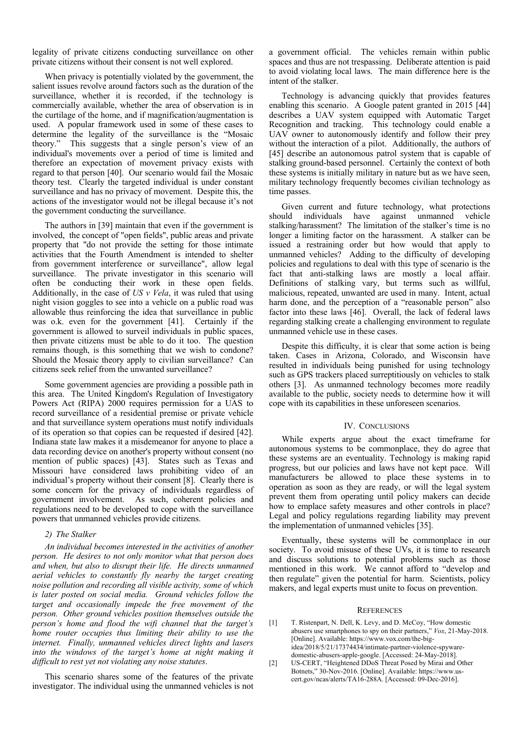legality of private citizens conducting surveillance on other private citizens without their consent is not well explored.

When privacy is potentially violated by the government, the salient issues revolve around factors such as the duration of the surveillance, whether it is recorded, if the technology is commercially available, whether the area of observation is in the curtilage of the home, and if magnification/augmentation is used. A popular framework used in some of these cases to determine the legality of the surveillance is the "Mosaic theory." This suggests that a single person's view of an individual's movements over a period of time is limited and therefore an expectation of movement privacy exists with regard to that person [40]. Our scenario would fail the Mosaic theory test. Clearly the targeted individual is under constant surveillance and has no privacy of movement. Despite this, the actions of the investigator would not be illegal because it's not the government conducting the surveillance.

The authors in [39] maintain that even if the government is involved, the concept of "open fields", public areas and private property that "do not provide the setting for those intimate activities that the Fourth Amendment is intended to shelter from government interference or surveillance", allow legal surveillance. The private investigator in this scenario will often be conducting their work in these open fields. Additionally, in the case of *US v Vela*, it was ruled that using night vision goggles to see into a vehicle on a public road was allowable thus reinforcing the idea that surveillance in public was o.k. even for the government [41]. Certainly if the government is allowed to surveil individuals in public spaces, then private citizens must be able to do it too. The question remains though, is this something that we wish to condone? Should the Mosaic theory apply to civilian surveillance? Can citizens seek relief from the unwanted surveillance?

Some government agencies are providing a possible path in this area. The United Kingdom's Regulation of Investigatory Powers Act (RIPA) 2000 requires permission for a UAS to record surveillance of a residential premise or private vehicle and that surveillance system operations must notify individuals of its operation so that copies can be requested if desired [42]. Indiana state law makes it a misdemeanor for anyone to place a data recording device on another's property without consent (no mention of public spaces) [43]. States such as Texas and Missouri have considered laws prohibiting video of an individual's property without their consent [8]. Clearly there is some concern for the privacy of individuals regardless of government involvement. As such, coherent policies and regulations need to be developed to cope with the surveillance powers that unmanned vehicles provide citizens.

#### *2) The Stalker*

*An individual becomes interested in the activities of another person. He desires to not only monitor what that person does and when, but also to disrupt their life. He directs unmanned aerial vehicles to constantly fly nearby the target creating noise pollution and recording all visible activity, some of which is later posted on social media. Ground vehicles follow the*  target and occasionally impede the free movement of the *person. Other ground vehicles position themselves outside the person's home and flood the wifi channel that the target's home router occupies thus limiting their ability to use the internet. Finally, unmanned vehicles direct lights and lasers*  into the windows of the target's home at night making it *difficult to rest yet not violating any noise statutes*.

This scenario shares some of the features of the private investigator. The individual using the unmanned vehicles is not a government official. The vehicles remain within public spaces and thus are not trespassing. Deliberate attention is paid to avoid violating local laws. The main difference here is the intent of the stalker.

Technology is advancing quickly that provides features enabling this scenario. A Google patent granted in 2015 [44] describes a UAV system equipped with Automatic Target Recognition and tracking. This technology could enable a UAV owner to autonomously identify and follow their prey without the interaction of a pilot. Additionally, the authors of [45] describe an autonomous patrol system that is capable of stalking ground-based personnel. Certainly the context of both these systems is initially military in nature but as we have seen, military technology frequently becomes civilian technology as time passes.

Given current and future technology, what protections should individuals have against unmanned vehicle stalking/harassment? The limitation of the stalker's time is no longer a limiting factor on the harassment. A stalker can be issued a restraining order but how would that apply to unmanned vehicles? Adding to the difficulty of developing policies and regulations to deal with this type of scenario is the fact that anti-stalking laws are mostly a local affair. Definitions of stalking vary, but terms such as willful, malicious, repeated, unwanted are used in many. Intent, actual harm done, and the perception of a "reasonable person" also factor into these laws [46]. Overall, the lack of federal laws regarding stalking create a challenging environment to regulate unmanned vehicle use in these cases.

Despite this difficulty, it is clear that some action is being taken. Cases in Arizona, Colorado, and Wisconsin have resulted in individuals being punished for using technology such as GPS trackers placed surreptitiously on vehicles to stalk others [3]. As unmanned technology becomes more readily available to the public, society needs to determine how it will cope with its capabilities in these unforeseen scenarios.

#### IV. CONCLUSIONS

While experts argue about the exact timeframe for autonomous systems to be commonplace, they do agree that these systems are an eventuality. Technology is making rapid progress, but our policies and laws have not kept pace. Will manufacturers be allowed to place these systems in to operation as soon as they are ready, or will the legal system prevent them from operating until policy makers can decide how to emplace safety measures and other controls in place? Legal and policy regulations regarding liability may prevent the implementation of unmanned vehicles [35].

 Eventually, these systems will be commonplace in our society. To avoid misuse of these UVs, it is time to research and discuss solutions to potential problems such as those mentioned in this work. We cannot afford to "develop and then regulate" given the potential for harm. Scientists, policy makers, and legal experts must unite to focus on prevention.

#### **REFERENCES**

- [1] T. Ristenpart, N. Dell, K. Levy, and D. McCoy, "How domestic abusers use smartphones to spy on their partners," *Vox*, 21-May-2018. [Online]. Available: https://www.vox.com/the-bigidea/2018/5/21/17374434/intimate-partner-violence-spywaredomestic-abusers-apple-google. [Accessed: 24-May-2018].
- [2] US-CERT, "Heightened DDoS Threat Posed by Mirai and Other Botnets," 30-Nov-2016. [Online]. Available: https://www.uscert.gov/ncas/alerts/TA16-288A. [Accessed: 09-Dec-2016].